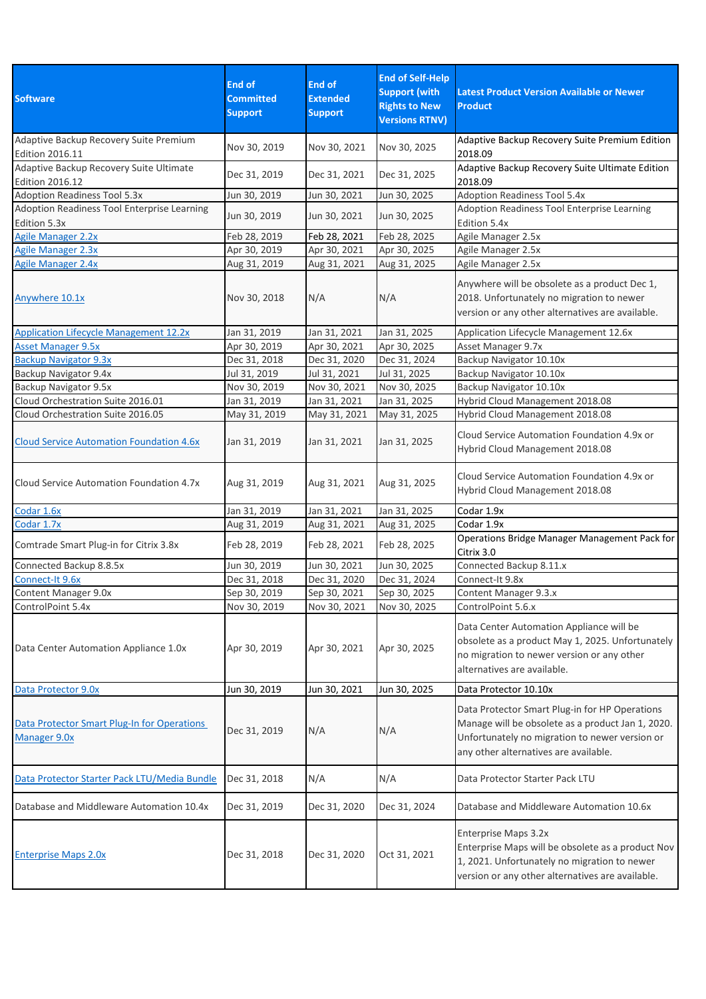| <b>Software</b>                                                   | <b>End of</b><br><b>Committed</b><br><b>Support</b> | End of<br><b>Extended</b><br><b>Support</b> | <b>End of Self-Help</b><br><b>Support (with</b><br><b>Rights to New</b><br><b>Versions RTNV)</b> | <b>Latest Product Version Available or Newer</b><br><b>Product</b>                                                                                                                             |
|-------------------------------------------------------------------|-----------------------------------------------------|---------------------------------------------|--------------------------------------------------------------------------------------------------|------------------------------------------------------------------------------------------------------------------------------------------------------------------------------------------------|
| Adaptive Backup Recovery Suite Premium<br>Edition 2016.11         | Nov 30, 2019                                        | Nov 30, 2021                                | Nov 30, 2025                                                                                     | Adaptive Backup Recovery Suite Premium Edition<br>2018.09                                                                                                                                      |
| Adaptive Backup Recovery Suite Ultimate<br><b>Edition 2016.12</b> | Dec 31, 2019                                        | Dec 31, 2021                                | Dec 31, 2025                                                                                     | Adaptive Backup Recovery Suite Ultimate Edition<br>2018.09                                                                                                                                     |
| <b>Adoption Readiness Tool 5.3x</b>                               | Jun 30, 2019                                        | Jun 30, 2021                                | Jun 30, 2025                                                                                     | <b>Adoption Readiness Tool 5.4x</b>                                                                                                                                                            |
| Adoption Readiness Tool Enterprise Learning<br>Edition 5.3x       | Jun 30, 2019                                        | Jun 30, 2021                                | Jun 30, 2025                                                                                     | Adoption Readiness Tool Enterprise Learning<br>Edition 5.4x                                                                                                                                    |
| <b>Agile Manager 2.2x</b>                                         | Feb 28, 2019                                        | Feb 28, 2021                                | Feb 28, 2025                                                                                     | Agile Manager 2.5x                                                                                                                                                                             |
| <b>Agile Manager 2.3x</b>                                         | Apr 30, 2019                                        | Apr 30, 2021                                | Apr 30, 2025                                                                                     | Agile Manager 2.5x                                                                                                                                                                             |
| <b>Agile Manager 2.4x</b>                                         | Aug 31, 2019                                        | Aug 31, 2021                                | Aug 31, 2025                                                                                     | Agile Manager 2.5x                                                                                                                                                                             |
| Anywhere 10.1x                                                    | Nov 30, 2018                                        | N/A                                         | N/A                                                                                              | Anywhere will be obsolete as a product Dec 1,<br>2018. Unfortunately no migration to newer<br>version or any other alternatives are available.                                                 |
| <b>Application Lifecycle Management 12.2x</b>                     | Jan 31, 2019                                        | Jan 31, 2021                                | Jan 31, 2025                                                                                     | Application Lifecycle Management 12.6x                                                                                                                                                         |
| <b>Asset Manager 9.5x</b>                                         | Apr 30, 2019                                        | Apr 30, 2021                                | Apr 30, 2025                                                                                     | Asset Manager 9.7x                                                                                                                                                                             |
| <b>Backup Navigator 9.3x</b>                                      | Dec 31, 2018                                        | Dec 31, 2020                                | Dec 31, 2024                                                                                     | Backup Navigator 10.10x                                                                                                                                                                        |
| Backup Navigator 9.4x                                             | Jul 31, 2019                                        | Jul 31, 2021                                | Jul 31, 2025                                                                                     | Backup Navigator 10.10x                                                                                                                                                                        |
| Backup Navigator 9.5x                                             | Nov 30, 2019                                        | Nov 30, 2021                                | Nov 30, 2025                                                                                     | Backup Navigator 10.10x                                                                                                                                                                        |
| Cloud Orchestration Suite 2016.01                                 | Jan 31, 2019                                        | Jan 31, 2021                                | Jan 31, 2025                                                                                     | Hybrid Cloud Management 2018.08                                                                                                                                                                |
| Cloud Orchestration Suite 2016.05                                 | May 31, 2019                                        | May 31, 2021                                | May 31, 2025                                                                                     | Hybrid Cloud Management 2018.08                                                                                                                                                                |
| <b>Cloud Service Automation Foundation 4.6x</b>                   | Jan 31, 2019                                        | Jan 31, 2021                                | Jan 31, 2025                                                                                     | Cloud Service Automation Foundation 4.9x or<br>Hybrid Cloud Management 2018.08                                                                                                                 |
| Cloud Service Automation Foundation 4.7x                          | Aug 31, 2019                                        | Aug 31, 2021                                | Aug 31, 2025                                                                                     | Cloud Service Automation Foundation 4.9x or<br>Hybrid Cloud Management 2018.08                                                                                                                 |
| Codar 1.6x                                                        | Jan 31, 2019                                        | Jan 31, 2021                                | Jan 31, 2025                                                                                     | Codar 1.9x                                                                                                                                                                                     |
| Codar 1.7x                                                        | Aug 31, 2019                                        | Aug 31, 2021                                | Aug 31, 2025                                                                                     | Codar 1.9x                                                                                                                                                                                     |
| Comtrade Smart Plug-in for Citrix 3.8x                            | Feb 28, 2019                                        | Feb 28, 2021                                | Feb 28, 2025                                                                                     | Operations Bridge Manager Management Pack for<br>Citrix 3.0                                                                                                                                    |
| Connected Backup 8.8.5x                                           | Jun 30, 2019                                        | Jun 30, 2021                                | Jun 30, 2025                                                                                     | Connected Backup 8.11.x                                                                                                                                                                        |
| Connect-It 9.6x                                                   | Dec 31, 2018                                        | Dec 31, 2020                                | Dec 31, 2024                                                                                     | Connect-It 9.8x                                                                                                                                                                                |
| Content Manager 9.0x                                              | Sep 30, 2019                                        | Sep 30, 2021                                | Sep 30, 2025                                                                                     | Content Manager 9.3.x                                                                                                                                                                          |
| ControlPoint 5.4x                                                 | Nov 30, 2019                                        | Nov 30, 2021                                | Nov 30, 2025                                                                                     | ControlPoint 5.6.x                                                                                                                                                                             |
| Data Center Automation Appliance 1.0x                             | Apr 30, 2019                                        | Apr 30, 2021                                | Apr 30, 2025                                                                                     | Data Center Automation Appliance will be<br>obsolete as a product May 1, 2025. Unfortunately<br>no migration to newer version or any other<br>alternatives are available.                      |
| Data Protector 9.0x                                               | Jun 30, 2019                                        | Jun 30, 2021                                | Jun 30, 2025                                                                                     | Data Protector 10.10x                                                                                                                                                                          |
| Data Protector Smart Plug-In for Operations<br>Manager 9.0x       | Dec 31, 2019                                        | N/A                                         | N/A                                                                                              | Data Protector Smart Plug-in for HP Operations<br>Manage will be obsolete as a product Jan 1, 2020.<br>Unfortunately no migration to newer version or<br>any other alternatives are available. |
| Data Protector Starter Pack LTU/Media Bundle                      | Dec 31, 2018                                        | N/A                                         | N/A                                                                                              | Data Protector Starter Pack LTU                                                                                                                                                                |
| Database and Middleware Automation 10.4x                          | Dec 31, 2019                                        | Dec 31, 2020                                | Dec 31, 2024                                                                                     | Database and Middleware Automation 10.6x                                                                                                                                                       |
| <b>Enterprise Maps 2.0x</b>                                       | Dec 31, 2018                                        | Dec 31, 2020                                | Oct 31, 2021                                                                                     | Enterprise Maps 3.2x<br>Enterprise Maps will be obsolete as a product Nov<br>1, 2021. Unfortunately no migration to newer<br>version or any other alternatives are available.                  |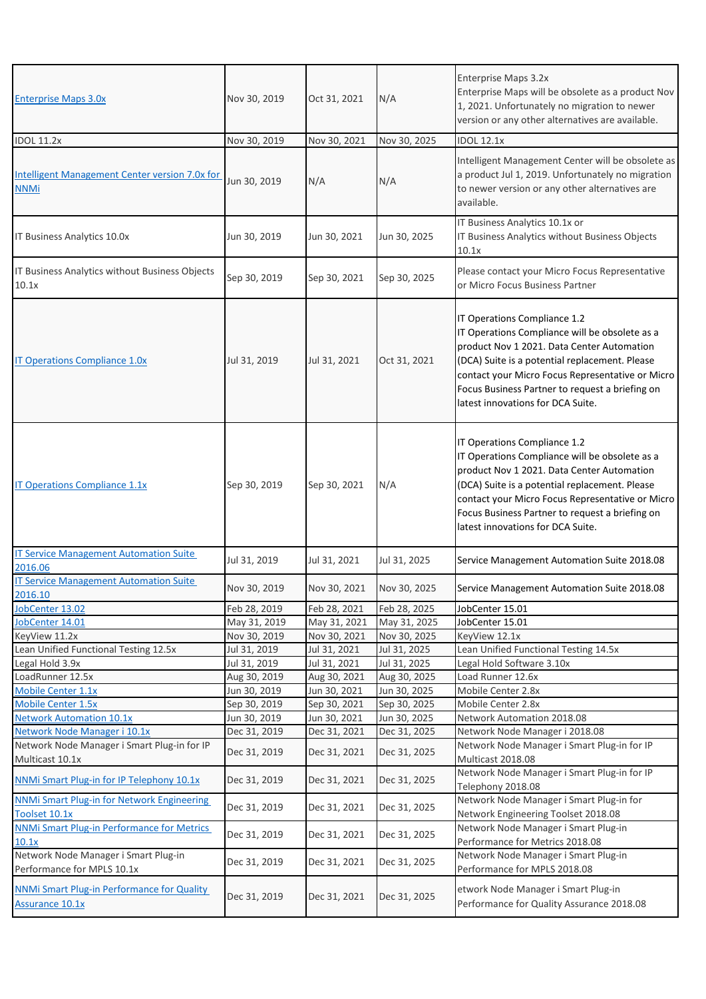| <b>Enterprise Maps 3.0x</b>                                                 | Nov 30, 2019 | Oct 31, 2021 | N/A          | Enterprise Maps 3.2x<br>Enterprise Maps will be obsolete as a product Nov<br>1, 2021. Unfortunately no migration to newer<br>version or any other alternatives are available.                                                                                                                                              |
|-----------------------------------------------------------------------------|--------------|--------------|--------------|----------------------------------------------------------------------------------------------------------------------------------------------------------------------------------------------------------------------------------------------------------------------------------------------------------------------------|
| <b>IDOL 11.2x</b>                                                           | Nov 30, 2019 | Nov 30, 2021 | Nov 30, 2025 | <b>IDOL 12.1x</b>                                                                                                                                                                                                                                                                                                          |
| <b>Intelligent Management Center version 7.0x for</b><br><b>NNMi</b>        | Jun 30, 2019 | N/A          | N/A          | Intelligent Management Center will be obsolete as<br>a product Jul 1, 2019. Unfortunately no migration<br>to newer version or any other alternatives are<br>available.                                                                                                                                                     |
| IT Business Analytics 10.0x                                                 | Jun 30, 2019 | Jun 30, 2021 | Jun 30, 2025 | IT Business Analytics 10.1x or<br>IT Business Analytics without Business Objects<br>10.1x                                                                                                                                                                                                                                  |
| IT Business Analytics without Business Objects<br>10.1x                     | Sep 30, 2019 | Sep 30, 2021 | Sep 30, 2025 | Please contact your Micro Focus Representative<br>or Micro Focus Business Partner                                                                                                                                                                                                                                          |
| <b>IT Operations Compliance 1.0x</b>                                        | Jul 31, 2019 | Jul 31, 2021 | Oct 31, 2021 | IT Operations Compliance 1.2<br>IT Operations Compliance will be obsolete as a<br>product Nov 1 2021. Data Center Automation<br>(DCA) Suite is a potential replacement. Please<br>contact your Micro Focus Representative or Micro<br>Focus Business Partner to request a briefing on<br>latest innovations for DCA Suite. |
| <b>IT Operations Compliance 1.1x</b>                                        | Sep 30, 2019 | Sep 30, 2021 | N/A          | IT Operations Compliance 1.2<br>IT Operations Compliance will be obsolete as a<br>product Nov 1 2021. Data Center Automation<br>(DCA) Suite is a potential replacement. Please<br>contact your Micro Focus Representative or Micro<br>Focus Business Partner to request a briefing on<br>latest innovations for DCA Suite. |
| <b>IT Service Management Automation Suite</b><br>2016.06                    | Jul 31, 2019 | Jul 31, 2021 | Jul 31, 2025 | Service Management Automation Suite 2018.08                                                                                                                                                                                                                                                                                |
| <b>IT Service Management Automation Suite</b><br>2016.10                    | Nov 30, 2019 | Nov 30, 2021 | Nov 30, 2025 | Service Management Automation Suite 2018.08                                                                                                                                                                                                                                                                                |
| JobCenter 13.02                                                             | Feb 28, 2019 | Feb 28, 2021 | Feb 28, 2025 | JobCenter 15.01                                                                                                                                                                                                                                                                                                            |
| JobCenter 14.01                                                             | May 31, 2019 | May 31, 2021 | May 31, 2025 | JobCenter 15.01                                                                                                                                                                                                                                                                                                            |
| KeyView 11.2x                                                               | Nov 30, 2019 | Nov 30, 2021 | Nov 30, 2025 | KeyView 12.1x                                                                                                                                                                                                                                                                                                              |
| Lean Unified Functional Testing 12.5x                                       | Jul 31, 2019 | Jul 31, 2021 | Jul 31, 2025 | Lean Unified Functional Testing 14.5x                                                                                                                                                                                                                                                                                      |
| Legal Hold 3.9x                                                             | Jul 31, 2019 | Jul 31, 2021 | Jul 31, 2025 | Legal Hold Software 3.10x                                                                                                                                                                                                                                                                                                  |
| LoadRunner 12.5x                                                            | Aug 30, 2019 | Aug 30, 2021 | Aug 30, 2025 | Load Runner 12.6x                                                                                                                                                                                                                                                                                                          |
| <b>Mobile Center 1.1x</b>                                                   | Jun 30, 2019 | Jun 30, 2021 | Jun 30, 2025 | Mobile Center 2.8x                                                                                                                                                                                                                                                                                                         |
| <b>Mobile Center 1.5x</b>                                                   | Sep 30, 2019 | Sep 30, 2021 | Sep 30, 2025 | Mobile Center 2.8x                                                                                                                                                                                                                                                                                                         |
| <b>Network Automation 10.1x</b>                                             | Jun 30, 2019 | Jun 30, 2021 | Jun 30, 2025 | Network Automation 2018.08                                                                                                                                                                                                                                                                                                 |
| Network Node Manager i 10.1x                                                | Dec 31, 2019 | Dec 31, 2021 | Dec 31, 2025 | Network Node Manager i 2018.08                                                                                                                                                                                                                                                                                             |
| Network Node Manager i Smart Plug-in for IP<br>Multicast 10.1x              | Dec 31, 2019 | Dec 31, 2021 | Dec 31, 2025 | Network Node Manager i Smart Plug-in for IP<br>Multicast 2018.08                                                                                                                                                                                                                                                           |
| NNMi Smart Plug-in for IP Telephony 10.1x                                   | Dec 31, 2019 | Dec 31, 2021 | Dec 31, 2025 | Network Node Manager i Smart Plug-in for IP<br>Telephony 2018.08                                                                                                                                                                                                                                                           |
| <b>NNMi Smart Plug-in for Network Engineering</b><br>Toolset 10.1x          | Dec 31, 2019 | Dec 31, 2021 | Dec 31, 2025 | Network Node Manager i Smart Plug-in for<br>Network Engineering Toolset 2018.08                                                                                                                                                                                                                                            |
| <b>NNMi Smart Plug-in Performance for Metrics</b><br>10.1x                  | Dec 31, 2019 | Dec 31, 2021 | Dec 31, 2025 | Network Node Manager i Smart Plug-in<br>Performance for Metrics 2018.08                                                                                                                                                                                                                                                    |
| Network Node Manager i Smart Plug-in<br>Performance for MPLS 10.1x          | Dec 31, 2019 | Dec 31, 2021 | Dec 31, 2025 | Network Node Manager i Smart Plug-in<br>Performance for MPLS 2018.08                                                                                                                                                                                                                                                       |
| <b>NNMi Smart Plug-in Performance for Quality</b><br><b>Assurance 10.1x</b> | Dec 31, 2019 | Dec 31, 2021 | Dec 31, 2025 | etwork Node Manager i Smart Plug-in<br>Performance for Quality Assurance 2018.08                                                                                                                                                                                                                                           |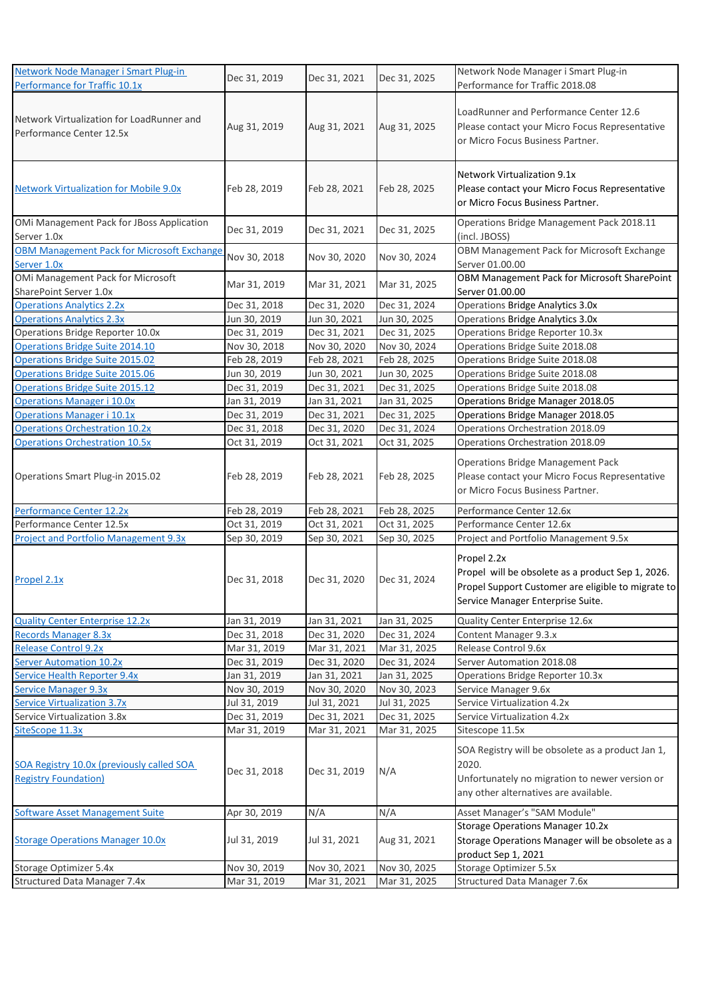| Network Node Manager i Smart Plug-in                                     | Dec 31, 2019 | Dec 31, 2021 | Dec 31, 2025 | Network Node Manager i Smart Plug-in                                                                                                                        |
|--------------------------------------------------------------------------|--------------|--------------|--------------|-------------------------------------------------------------------------------------------------------------------------------------------------------------|
| Performance for Traffic 10.1x                                            |              |              |              | Performance for Traffic 2018.08                                                                                                                             |
| Network Virtualization for LoadRunner and<br>Performance Center 12.5x    | Aug 31, 2019 | Aug 31, 2021 | Aug 31, 2025 | LoadRunner and Performance Center 12.6<br>Please contact your Micro Focus Representative<br>or Micro Focus Business Partner.                                |
| <b>Network Virtualization for Mobile 9.0x</b>                            | Feb 28, 2019 | Feb 28, 2021 | Feb 28, 2025 | <b>Network Virtualization 9.1x</b><br>Please contact your Micro Focus Representative<br>or Micro Focus Business Partner.                                    |
| OMi Management Pack for JBoss Application<br>Server 1.0x                 | Dec 31, 2019 | Dec 31, 2021 | Dec 31, 2025 | Operations Bridge Management Pack 2018.11<br>(incl. JBOSS)                                                                                                  |
| <b>OBM Management Pack for Microsoft Exchange</b><br>Server 1.0x         | Nov 30, 2018 | Nov 30, 2020 | Nov 30, 2024 | OBM Management Pack for Microsoft Exchange<br>Server 01.00.00                                                                                               |
| OMi Management Pack for Microsoft<br>SharePoint Server 1.0x              | Mar 31, 2019 | Mar 31, 2021 | Mar 31, 2025 | OBM Management Pack for Microsoft SharePoint<br>Server 01.00.00                                                                                             |
| <b>Operations Analytics 2.2x</b>                                         | Dec 31, 2018 | Dec 31, 2020 | Dec 31, 2024 | Operations Bridge Analytics 3.0x                                                                                                                            |
| <b>Operations Analytics 2.3x</b>                                         | Jun 30, 2019 | Jun 30, 2021 | Jun 30, 2025 | Operations Bridge Analytics 3.0x                                                                                                                            |
| Operations Bridge Reporter 10.0x                                         | Dec 31, 2019 | Dec 31, 2021 | Dec 31, 2025 | Operations Bridge Reporter 10.3x                                                                                                                            |
| Operations Bridge Suite 2014.10                                          | Nov 30, 2018 | Nov 30, 2020 | Nov 30, 2024 | Operations Bridge Suite 2018.08                                                                                                                             |
| <b>Operations Bridge Suite 2015.02</b>                                   | Feb 28, 2019 | Feb 28, 2021 | Feb 28, 2025 | Operations Bridge Suite 2018.08                                                                                                                             |
| Operations Bridge Suite 2015.06                                          | Jun 30, 2019 | Jun 30, 2021 | Jun 30, 2025 | Operations Bridge Suite 2018.08                                                                                                                             |
| Operations Bridge Suite 2015.12                                          | Dec 31, 2019 | Dec 31, 2021 | Dec 31, 2025 | Operations Bridge Suite 2018.08                                                                                                                             |
| <b>Operations Manager i 10.0x</b>                                        | Jan 31, 2019 | Jan 31, 2021 | Jan 31, 2025 | Operations Bridge Manager 2018.05                                                                                                                           |
| Operations Manager i 10.1x                                               | Dec 31, 2019 | Dec 31, 2021 | Dec 31, 2025 | Operations Bridge Manager 2018.05                                                                                                                           |
| <b>Operations Orchestration 10.2x</b>                                    | Dec 31, 2018 | Dec 31, 2020 | Dec 31, 2024 | Operations Orchestration 2018.09                                                                                                                            |
| <b>Operations Orchestration 10.5x</b>                                    | Oct 31, 2019 | Oct 31, 2021 | Oct 31, 2025 | Operations Orchestration 2018.09                                                                                                                            |
| Operations Smart Plug-in 2015.02                                         | Feb 28, 2019 | Feb 28, 2021 | Feb 28, 2025 | Operations Bridge Management Pack<br>Please contact your Micro Focus Representative<br>or Micro Focus Business Partner.                                     |
| Performance Center 12.2x                                                 | Feb 28, 2019 | Feb 28, 2021 | Feb 28, 2025 | Performance Center 12.6x                                                                                                                                    |
| Performance Center 12.5x                                                 | Oct 31, 2019 | Oct 31, 2021 | Oct 31, 2025 | Performance Center 12.6x                                                                                                                                    |
| <b>Project and Portfolio Management 9.3x</b>                             | Sep 30, 2019 | Sep 30, 2021 | Sep 30, 2025 | Project and Portfolio Management 9.5x                                                                                                                       |
| Propel 2.1x                                                              | Dec 31, 2018 | Dec 31, 2020 | Dec 31, 2024 | Propel 2.2x<br>Propel will be obsolete as a product Sep 1, 2026.<br>Propel Support Customer are eligible to migrate to<br>Service Manager Enterprise Suite. |
| <b>Quality Center Enterprise 12.2x</b>                                   | Jan 31, 2019 | Jan 31, 2021 | Jan 31, 2025 | Quality Center Enterprise 12.6x                                                                                                                             |
| <b>Records Manager 8.3x</b>                                              | Dec 31, 2018 | Dec 31, 2020 | Dec 31, 2024 | Content Manager 9.3.x                                                                                                                                       |
| <b>Release Control 9.2x</b>                                              | Mar 31, 2019 | Mar 31, 2021 | Mar 31, 2025 | Release Control 9.6x                                                                                                                                        |
| <b>Server Automation 10.2x</b>                                           | Dec 31, 2019 | Dec 31, 2020 | Dec 31, 2024 | Server Automation 2018.08                                                                                                                                   |
| <b>Service Health Reporter 9.4x</b>                                      | Jan 31, 2019 | Jan 31, 2021 | Jan 31, 2025 | Operations Bridge Reporter 10.3x                                                                                                                            |
| <b>Service Manager 9.3x</b>                                              | Nov 30, 2019 | Nov 30, 2020 | Nov 30, 2023 | Service Manager 9.6x                                                                                                                                        |
| <b>Service Virtualization 3.7x</b>                                       | Jul 31, 2019 | Jul 31, 2021 | Jul 31, 2025 | Service Virtualization 4.2x                                                                                                                                 |
| Service Virtualization 3.8x                                              | Dec 31, 2019 | Dec 31, 2021 | Dec 31, 2025 | Service Virtualization 4.2x                                                                                                                                 |
| SiteScope 11.3x                                                          | Mar 31, 2019 | Mar 31, 2021 | Mar 31, 2025 | Sitescope 11.5x                                                                                                                                             |
| SOA Registry 10.0x (previously called SOA<br><b>Registry Foundation)</b> | Dec 31, 2018 | Dec 31, 2019 | N/A          | SOA Registry will be obsolete as a product Jan 1,<br>2020.<br>Unfortunately no migration to newer version or<br>any other alternatives are available.       |
| <b>Software Asset Management Suite</b>                                   | Apr 30, 2019 | N/A          | N/A          | Asset Manager's "SAM Module"                                                                                                                                |
| <b>Storage Operations Manager 10.0x</b>                                  | Jul 31, 2019 | Jul 31, 2021 | Aug 31, 2021 | <b>Storage Operations Manager 10.2x</b><br>Storage Operations Manager will be obsolete as a<br>product Sep 1, 2021                                          |
| Storage Optimizer 5.4x                                                   | Nov 30, 2019 | Nov 30, 2021 | Nov 30, 2025 | Storage Optimizer 5.5x                                                                                                                                      |
| Structured Data Manager 7.4x                                             | Mar 31, 2019 | Mar 31, 2021 | Mar 31, 2025 | Structured Data Manager 7.6x                                                                                                                                |